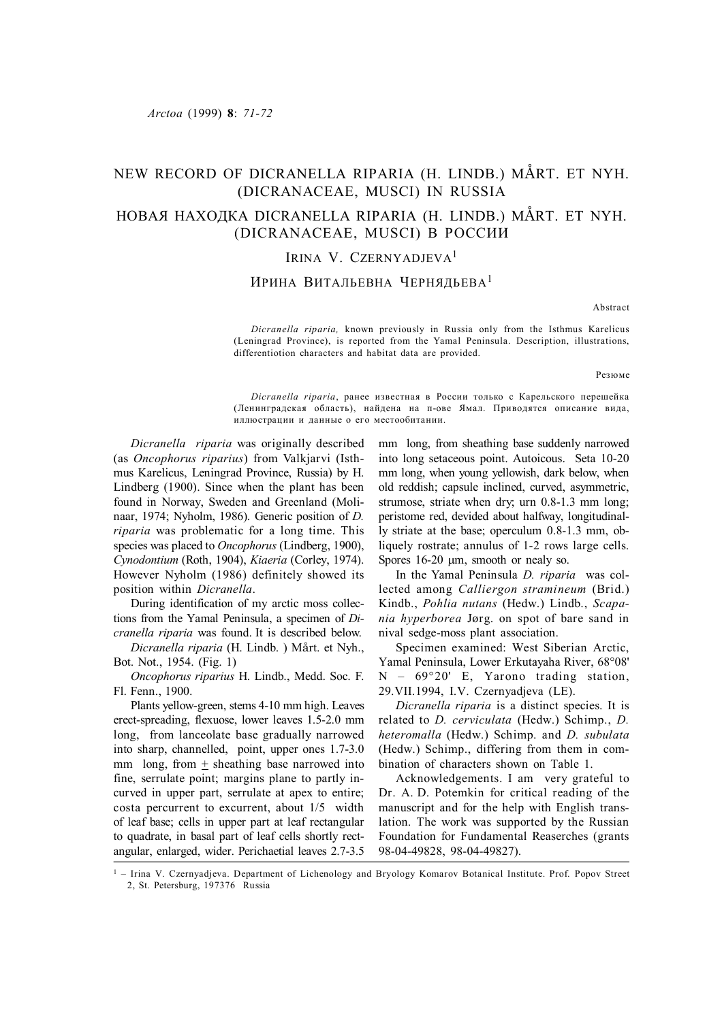# NEW RECORD OF DICRANELLA RIPARIA (H. LINDB.) MÅRT. ET NYH. (DICRANACEAE, MUSCI) IN RUSSIA

## НОВАЯ НАХОДКА DICRANELLA RIPARIA (H. LINDB.) MÅRT. ET NYH. (DICRANACEAE, MUSCI) В РОССИИ

## IRINA V. CZERNYADJEVA<sup>1</sup>

### ИРИНА ВИТАЛЬЕВНА ЧЕРНЯДЬЕВА<sup>1</sup>

Abstract

*Dicranella riparia,* known previously in Russia only from the Isthmus Karelicus (Leningrad Province), is reported from the Yamal Peninsula. Description, illustrations, differentiotion characters and habitat data are provided.

Резюме

*Dicranella riparia*, ранее известная в России только с Карельского перешейка (Ленинградская область), найдена на п-ове Ямал. Приводятся описание вида, иллюстрации и данные о его местообитании.

*Dicranella riparia* was originally described (as *Oncophorus riparius*) from Valkjarvi (Isthmus Karelicus, Leningrad Province, Russia) by H. Lindberg (1900). Since when the plant has been found in Norway, Sweden and Greenland (Molinaar, 1974; Nyholm, 1986). Generic position of *D. riparia* was problematic for a long time. This species was placed to *Oncophorus* (Lindberg, 1900), *Cynodontium* (Roth, 1904), *Kiaeria* (Corley, 1974). However Nyholm (1986) definitely showed its position within *Dicranella*.

During identification of my arctic moss collections from the Yamal Peninsula, a specimen of *Dicranella riparia* was found. It is described below.

*Dicranella riparia* (H. Lindb. ) Mårt. et Nyh., Bot. Not., 1954. (Fig. 1)

*Oncophorus riparius* H. Lindb., Medd. Soc. F. Fl. Fenn., 1900.

Plants yellow-green, stems 4-10 mm high. Leaves erect-spreading, flexuose, lower leaves 1.5-2.0 mm long, from lanceolate base gradually narrowed into sharp, channelled, point, upper ones 1.7-3.0 mm long, from  $\pm$  sheathing base narrowed into fine, serrulate point; margins plane to partly incurved in upper part, serrulate at apex to entire; costa percurrent to excurrent, about 1/5 width of leaf base; cells in upper part at leaf rectangular to quadrate, in basal part of leaf cells shortly rectangular, enlarged, wider. Perichaetial leaves 2.7-3.5 mm long, from sheathing base suddenly narrowed into long setaceous point. Autoicous. Seta 10-20 mm long, when young yellowish, dark below, when old reddish; capsule inclined, curved, asymmetric, strumose, striate when dry; urn 0.8-1.3 mm long; peristome red, devided about halfway, longitudinally striate at the base; operculum 0.8-1.3 mm, obliquely rostrate; annulus of 1-2 rows large cells. Spores  $16-20 \mu m$ , smooth or nealy so.

In the Yamal Peninsula *D. riparia* was collected among *Calliergon stramineum* (Brid.) Kindb., *Pohlia nutans* (Hedw.) Lindb., *Scapania hyperborea* Jørg. on spot of bare sand in nival sedge-moss plant association.

Specimen examined: West Siberian Arctic, Yamal Peninsula, Lower Erkutayaha River, 68°08' N – 69°20' E, Yarono trading station, 29.VII.1994, I.V. Czernyadjeva (LE).

*Dicranella riparia* is a distinct species. It is related to *D. cerviculata* (Hedw.) Schimp., *D. heteromalla* (Hedw.) Schimp. and *D. subulata* (Hedw.) Schimp., differing from them in combination of characters shown on Table 1.

Acknowledgements. I am very grateful to Dr. A. D. Potemkin for critical reading of the manuscript and for the help with English translation. The work was supported by the Russian Foundation for Fundamental Reaserches (grants 98-04-49828, 98-04-49827).

<sup>&</sup>lt;sup>1</sup> – Irina V. Czernyadjeva. Department of Lichenology and Bryology Komarov Botanical Institute. Prof. Popov Street 2, St. Petersburg, 197376 Russia